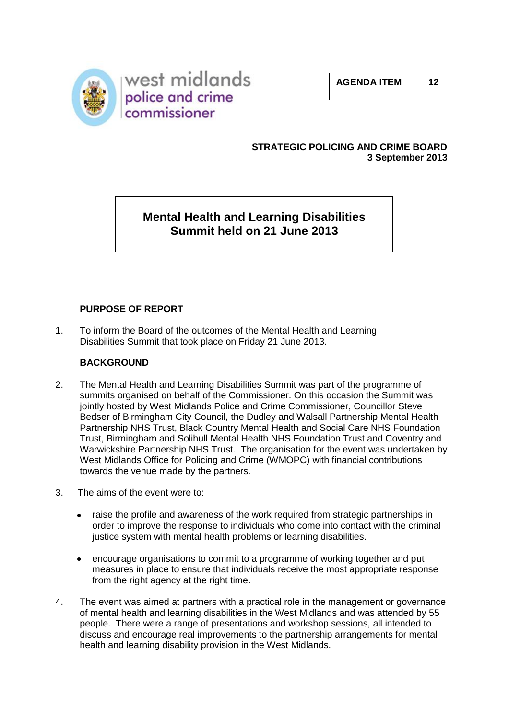



## **STRATEGIC POLICING AND CRIME BOARD 3 September 2013**

# **Mental Health and Learning Disabilities Summit held on 21 June 2013**

# **PURPOSE OF REPORT**

1. To inform the Board of the outcomes of the Mental Health and Learning Disabilities Summit that took place on Friday 21 June 2013.

## **BACKGROUND**

- 2. The Mental Health and Learning Disabilities Summit was part of the programme of summits organised on behalf of the Commissioner. On this occasion the Summit was jointly hosted by West Midlands Police and Crime Commissioner, Councillor Steve Bedser of Birmingham City Council, the Dudley and Walsall Partnership Mental Health Partnership NHS Trust, Black Country Mental Health and Social Care NHS Foundation Trust, Birmingham and Solihull Mental Health NHS Foundation Trust and Coventry and Warwickshire Partnership NHS Trust. The organisation for the event was undertaken by West Midlands Office for Policing and Crime (WMOPC) with financial contributions towards the venue made by the partners.
- 3. The aims of the event were to:
	- raise the profile and awareness of the work required from strategic partnerships in order to improve the response to individuals who come into contact with the criminal justice system with mental health problems or learning disabilities.
	- encourage organisations to commit to a programme of working together and put measures in place to ensure that individuals receive the most appropriate response from the right agency at the right time.
- 4. The event was aimed at partners with a practical role in the management or governance of mental health and learning disabilities in the West Midlands and was attended by 55 people. There were a range of presentations and workshop sessions, all intended to discuss and encourage real improvements to the partnership arrangements for mental health and learning disability provision in the West Midlands.